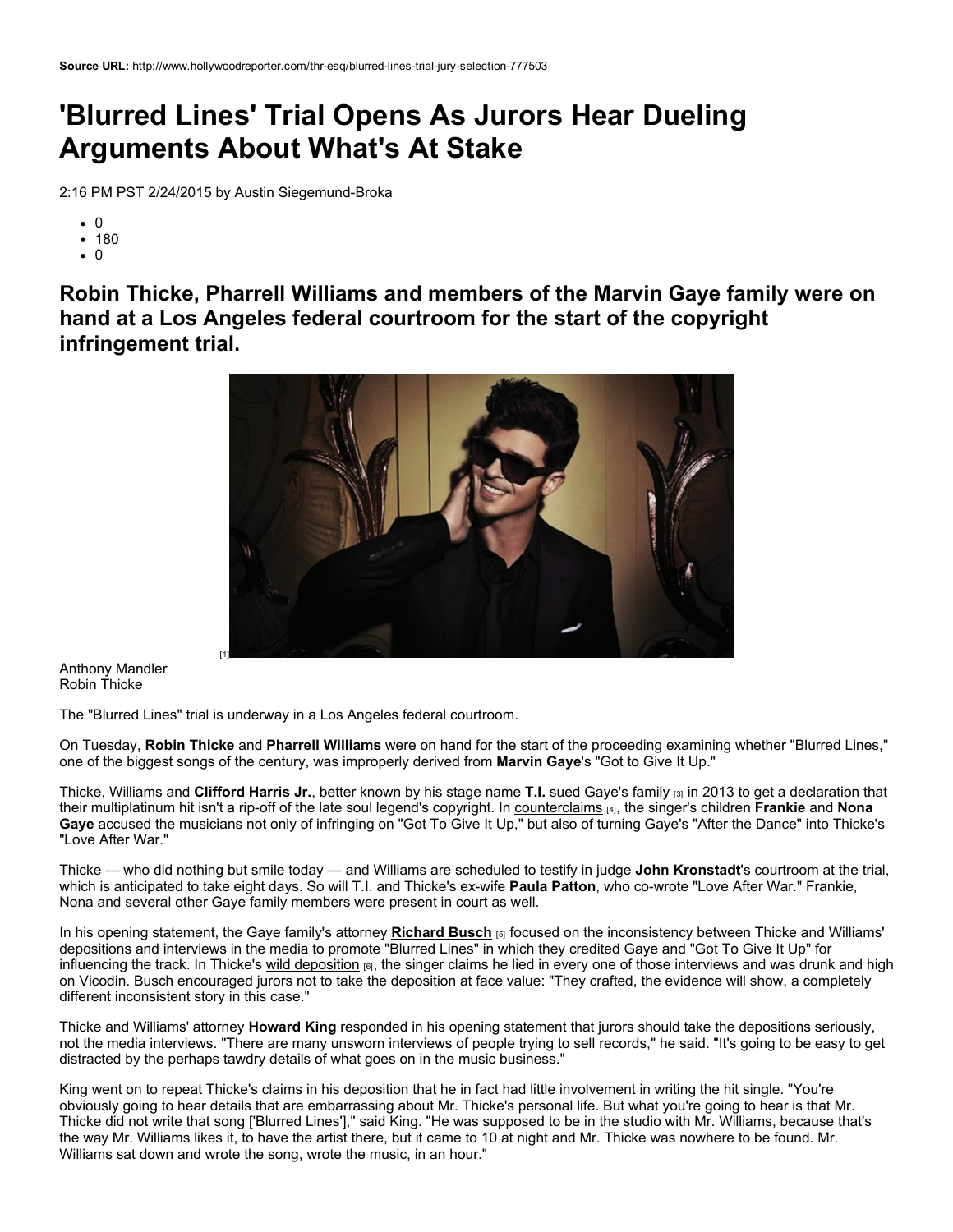## 'Blurred Lines' Trial Opens As Jurors Hear Dueling Arguments About What's At Stake

2:16 PM PST 2/24/2015 by Austin Siegemund-Broka

- $\bullet$  0
- 180
- $\cdot$  0

Robin Thicke, Pharrell Williams and members of the Marvin Gaye family were on hand at a Los Angeles federal courtroom for the start of the copyright infringement trial.



Anthony Mandler Robin Thicke

The "Blurred Lines" trial is underway in a Los Angeles federal courtroom.

On Tuesday, Robin Thicke and Pharrell Williams were on hand for the start of the proceeding examining whether "Blurred Lines," one of the biggest songs of the century, was improperly derived from Marvin Gaye's "Got to Give It Up."

Thicke, Williams and Clifford Harris Jr., better known by his stage name T.I. sued [Gaye's](http://www.hollywoodreporter.com/thr-esq/robin-thicke-sues-protect-blurred-607492) family [3] in 2013 to get a declaration that their multiplatinum hit isn't a rip-off of the late soul legend's copyright. In [counterclaims](http://www.hollywoodreporter.com/thr-esq/blurred-lines-lawsuit-marvin-gaye-651427) [4], the singer's children Frankie and Nona Gaye accused the musicians not only of infringing on "Got To Give It Up," but also of turning Gaye's "After the Dance" into Thicke's "Love After War."

Thicke — who did nothing but smile today — and Williams are scheduled to testify in judge John Kronstadt's courtroom at the trial, which is anticipated to take eight days. So will T.I. and Thicke's ex-wife Paula Patton, who co-wrote "Love After War." Frankie, Nona and several other Gaye family members were present in court as well.

In his opening statement, the Gaye family's attorney [Richard](http://www.hollywoodreporter.com/lists/richard-busch-349791) Busch [5] focused on the inconsistency between Thicke and Williams' depositions and interviews in the media to promote "Blurred Lines" in which they credited Gaye and "Got To Give It Up" for influencing the track. In Thicke's wild [deposition](http://www.hollywoodreporter.com/thr-esq/robin-thicke-admits-drug-abuse-732783) [6], the singer claims he lied in every one of those interviews and was drunk and high on Vicodin. Busch encouraged jurors not to take the deposition at face value: "They crafted, the evidence will show, a completely different inconsistent story in this case."

Thicke and Williams' attorney Howard King responded in his opening statement that jurors should take the depositions seriously, not the media interviews. "There are many unsworn interviews of people trying to sell records," he said. "It's going to be easy to get distracted by the perhaps tawdry details of what goes on in the music business."

King went on to repeat Thicke's claims in his deposition that he in fact had little involvement in writing the hit single. "You're obviously going to hear details that are embarrassing about Mr. Thicke's personal life. But what you're going to hear is that Mr. Thicke did not write that song ['Blurred Lines']," said King. "He was supposed to be in the studio with Mr. Williams, because that's the way Mr. Williams likes it, to have the artist there, but it came to 10 at night and Mr. Thicke was nowhere to be found. Mr. Williams sat down and wrote the song, wrote the music, in an hour."